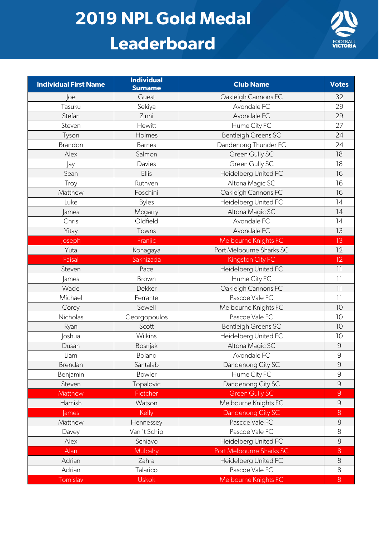## **2019 NPL Gold Medal Leaderboard**



| <b>Individual First Name</b> | <b>Individual</b><br><b>Surname</b> | <b>Club Name</b>           | <b>Votes</b>    |
|------------------------------|-------------------------------------|----------------------------|-----------------|
| loe                          | Guest                               | Oakleigh Cannons FC        | 32              |
| Tasuku                       | Sekiya                              | Avondale FC                | 29              |
| Stefan                       | Zinni                               | Avondale FC                | 29              |
| Steven                       | Hewitt                              | Hume City FC               | 27              |
| Tyson                        | Holmes                              | <b>Bentleigh Greens SC</b> | 24              |
| Brandon                      | <b>Barnes</b>                       | Dandenong Thunder FC       | 24              |
| Alex                         | Salmon                              | Green Gully SC             | 18              |
| Jay                          | Davies                              | Green Gully SC             | 18              |
| Sean                         | Ellis                               | Heidelberg United FC       | 16              |
| Troy                         | Ruthven                             | Altona Magic SC            | 16              |
| Matthew                      | Foschini                            | Oakleigh Cannons FC        | 16              |
| Luke                         | <b>Byles</b>                        | Heidelberg United FC       | 14              |
| <b>James</b>                 | Mcgarry                             | Altona Magic SC            | 14              |
| Chris                        | Oldfield                            | Avondale FC                | 14              |
| Yitay                        | Towns                               | Avondale FC                | 13              |
| oseph                        | Franjic                             | Melbourne Knights FC       | 13              |
| Yuta                         | Konagaya                            | Port Melbourne Sharks SC   | 12              |
| Faisal                       | Sakhizada                           | Kingston City FC           | 12              |
| Steven                       | Pace                                | Heidelberg United FC       | $\overline{11}$ |
| <b>James</b>                 | Brown                               | Hume City FC               | 11              |
| Wade                         | Dekker                              | Oakleigh Cannons FC        | $\overline{11}$ |
| Michael                      | Ferrante                            | Pascoe Vale FC             | $\overline{1}$  |
| Corey                        | Sewell                              | Melbourne Knights FC       | 10              |
| Nicholas                     | Georgopoulos                        | Pascoe Vale FC             | 10              |
| Ryan                         | Scott                               | <b>Bentleigh Greens SC</b> | 10              |
| <b>loshua</b>                | Wilkins                             | Heidelberg United FC       | 10              |
| Dusan                        | Bosnjak                             | Altona Magic SC            | $\overline{9}$  |
| Liam                         | Boland                              | Avondale FC                | $\mathcal{G}$   |
| Brendan                      | Santalab                            | Dandenong City SC          | $\overline{9}$  |
| Benjamin                     | Bowler                              | Hume City FC               | 9               |
| Steven                       | Topalovic                           | Dandenong City SC          | $\overline{9}$  |
| Matthew                      | Fletcher                            | <b>Green Gully SC</b>      | $\overline{9}$  |
| Hamish                       | Watson                              | Melbourne Knights FC       | $\mathcal{G}$   |
| <b>James</b>                 | Kelly                               | Dandenong City SC          | 8               |
| Matthew                      | Hennessey                           | Pascoe Vale FC             | $\,8\,$         |
| Davey                        | Van 't Schip                        | Pascoe Vale FC             | 8               |
| Alex                         | Schiavo                             | Heidelberg United FC       | 8               |
| Alan                         | Mulcahy                             | Port Melbourne Sharks SC   | $8\,$           |
| Adrian                       | Zahra                               | Heidelberg United FC       | $\,8\,$         |
| Adrian                       | Talarico                            | Pascoe Vale FC             | 8               |
| Tomislav                     | <b>Uskok</b>                        | Melbourne Knights FC       | $8\phantom{1}$  |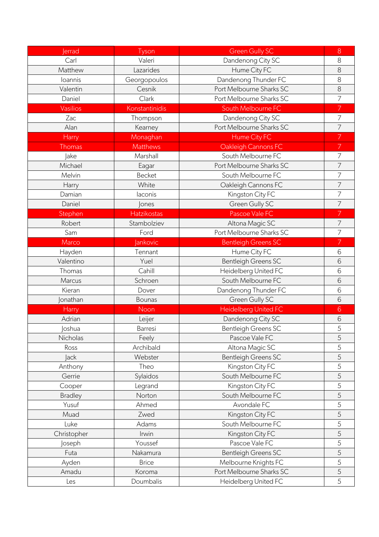| <b>Jerrad</b>  | Tyson              | <b>Green Gully SC</b>       | $8\,$          |
|----------------|--------------------|-----------------------------|----------------|
| Carl           | Valeri             | Dandenong City SC           | 8              |
| Matthew        | Lazarides          | Hume City FC                | 8              |
| loannis        | Georgopoulos       | Dandenong Thunder FC        | 8              |
| Valentin       | Cesnik             | Port Melbourne Sharks SC    | 8              |
| Daniel         | Clark              | Port Melbourne Sharks SC    | $\overline{7}$ |
| Vasilios       | Konstantinidis     | South Melbourne FC          | 7              |
| Zac            | Thompson           | Dandenong City SC           | 7              |
| Alan           | Kearney            | Port Melbourne Sharks SC    | 7              |
| Harry          | Monaghan           | Hume City FC                | 7              |
| <b>Thomas</b>  | <b>Matthews</b>    | Oakleigh Cannons FC         | 7              |
| lake           | Marshall           | South Melbourne FC          | 7              |
| Michael        | Eagar              | Port Melbourne Sharks SC    | 7              |
| Melvin         | <b>Becket</b>      | South Melbourne FC          | $\overline{7}$ |
| Harry          | White              | Oakleigh Cannons FC         | 7              |
| Damian         | laconis            | Kingston City FC            | 7              |
| Daniel         | <b>lones</b>       | Green Gully SC              | 7              |
| Stephen        | <b>Hatzikostas</b> | Pascoe Vale FC              | 7              |
| Robert         | Stambolziev        | Altona Magic SC             | 7              |
| Sam            | Ford               | Port Melbourne Sharks SC    | 7              |
| Marco          | <b>Jankovic</b>    | <b>Bentleigh Greens SC</b>  | 7              |
| Hayden         | Tennant            | Hume City FC                | 6              |
| Valentino      | Yuel               | <b>Bentleigh Greens SC</b>  | 6              |
| Thomas         | Cahill             | Heidelberg United FC        | 6              |
| Marcus         | Schroen            | South Melbourne FC          | 6              |
| Kieran         | Dover              | Dandenong Thunder FC        | 6              |
| Jonathan       | <b>Bounas</b>      | Green Gully SC              | 6              |
| Harry          | Noon               | <b>Heidelberg United FC</b> | 6              |
| Adrian         | Leijer             | Dandenong City SC           | 6              |
| <b>loshua</b>  | Barresi            | Bentleigh Greens SC         | 5              |
| Nicholas       | Feely              | Pascoe Vale FC              | 5              |
| Ross           | Archibald          | Altona Magic SC             | 5              |
| <b>Jack</b>    | Webster            | <b>Bentleigh Greens SC</b>  | 5              |
| Anthony        | Theo               | Kingston City FC            | 5              |
| Gerrie         | Sylaidos           | South Melbourne FC          | 5              |
| Cooper         | Legrand            | Kingston City FC            | 5              |
| <b>Bradley</b> | Norton             | South Melbourne FC          | 5              |
| Yusuf          | Ahmed              | Avondale FC                 | 5              |
| Muad           | Zwed               | Kingston City FC            | 5              |
| Luke           | Adams              | South Melbourne FC          | 5              |
| Christopher    | Irwin              | Kingston City FC            | 5              |
| Joseph         | Youssef            | Pascoe Vale FC              | 5              |
| Futa           | Nakamura           | <b>Bentleigh Greens SC</b>  | 5              |
| Ayden          | <b>Brice</b>       | Melbourne Knights FC        | 5              |
| Amadu          | Koroma             | Port Melbourne Sharks SC    | 5              |
| Les            | Doumbalis          | Heidelberg United FC        | 5              |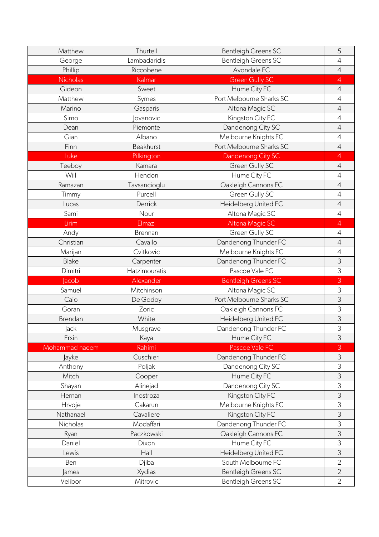| Matthew         | Thurtell      | <b>Bentleigh Greens SC</b> | 5              |
|-----------------|---------------|----------------------------|----------------|
| George          | Lambadaridis  | <b>Bentleigh Greens SC</b> | $\overline{4}$ |
| Phillip         | Riccobene     | Avondale FC                | $\overline{4}$ |
| <b>Nicholas</b> | Kalmar        | <b>Green Gully SC</b>      | 4              |
| Gideon          | Sweet         | Hume City FC               | $\sqrt{4}$     |
| Matthew         | Symes         | Port Melbourne Sharks SC   | $\overline{4}$ |
| Marino          | Gasparis      | Altona Magic SC            | $\overline{4}$ |
| Simo            | ovanovic      | Kingston City FC           | $\overline{4}$ |
| Dean            | Piemonte      | Dandenong City SC          | $\sqrt{4}$     |
| Gian            | Albano        | Melbourne Knights FC       | $\overline{4}$ |
| Finn            | Beakhurst     | Port Melbourne Sharks SC   | $\overline{4}$ |
| Luke            | Pilkington    | Dandenong City SC          | 4              |
| Teeboy          | Kamara        | Green Gully SC             | $\overline{4}$ |
| Will            | Hendon        | Hume City FC               | $\overline{4}$ |
| Ramazan         | Tavsancioglu  | Oakleigh Cannons FC        | $\sqrt{4}$     |
| Timmy           | Purcell       | Green Gully SC             | $\overline{4}$ |
| Lucas           | Derrick       | Heidelberg United FC       | $\overline{4}$ |
| Sami            | Nour          | Altona Magic SC            | $\overline{4}$ |
| Lirim           | Elmazi        | <b>Altona Magic SC</b>     | $\overline{4}$ |
| Andy            | Brennan       | Green Gully SC             | $\overline{4}$ |
| Christian       | Cavallo       | Dandenong Thunder FC       | $\sqrt{4}$     |
| Marijan         | Cvitkovic     | Melbourne Knights FC       | $\overline{4}$ |
| <b>Blake</b>    | Carpenter     | Dandenong Thunder FC       | 3              |
|                 |               |                            | 3              |
| Dimitri         | Hatzimouratis | Pascoe Vale FC             |                |
| <b>acob</b>     | Alexander     | <b>Bentleigh Greens SC</b> | 3              |
| Samuel          | Mitchinson    | Altona Magic SC            | 3              |
| Caio            | De Godoy      | Port Melbourne Sharks SC   | 3              |
| Goran           | Zoric         | Oakleigh Cannons FC        | 3              |
| Brendan         | White         | Heidelberg United FC       | $\mathfrak{Z}$ |
| <b>Jack</b>     | Musgrave      | Dandenong Thunder FC       | 3              |
| Ersin           | Kaya          | Hume City FC               | $\mathfrak{Z}$ |
| Mohammad naeem  | Rahimi        | Pascoe Vale FC             | 3              |
| Jayke           | Cuschieri     | Dandenong Thunder FC       | $\mathfrak{Z}$ |
| Anthony         | Poljak        | Dandenong City SC          | 3              |
| Mitch           | Cooper        | Hume City FC               | 3              |
| Shayan          | Alinejad      | Dandenong City SC          | 3              |
| Hernan          | Inostroza     | Kingston City FC           | 3              |
| Hrvoje          | Cakarun       | Melbourne Knights FC       | 3              |
| Nathanael       | Cavaliere     | Kingston City FC           | 3              |
| Nicholas        | Modaffari     | Dandenong Thunder FC       | 3              |
| Ryan            | Paczkowski    | Oakleigh Cannons FC        | 3              |
| Daniel          | Dixon         | Hume City FC               | 3              |
| Lewis           | Hall          | Heidelberg United FC       | 3              |
| Ben             | Djiba         | South Melbourne FC         | $\overline{2}$ |
| James           | Xydias        | <b>Bentleigh Greens SC</b> | $\overline{2}$ |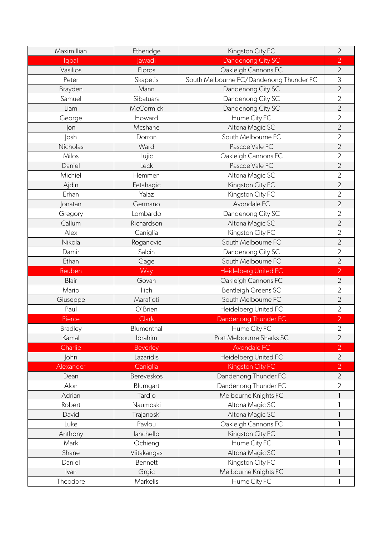| Maximillian    | Etheridge        | Kingston City FC                        | $\overline{2}$ |
|----------------|------------------|-----------------------------------------|----------------|
| lqbal          | <b>Jawadi</b>    | Dandenong City SC                       | $\overline{2}$ |
| Vasilios       | Floros           | Oakleigh Cannons FC                     | $\overline{2}$ |
| Peter          | Skapetis         | South Melbourne FC/Dandenong Thunder FC | 3              |
| Brayden        | Mann             | Dandenong City SC                       | $\overline{2}$ |
| Samuel         | Sibatuara        | Dandenong City SC                       | $\overline{2}$ |
| Liam           | <b>McCormick</b> | Dandenong City SC                       | $\overline{2}$ |
| George         | Howard           | Hume City FC                            | $\overline{2}$ |
| on             | Mcshane          | Altona Magic SC                         | $\overline{2}$ |
| <b>losh</b>    | Dorron           | South Melbourne FC                      | $\overline{2}$ |
| Nicholas       | Ward             | Pascoe Vale FC                          | $\overline{2}$ |
| Milos          | Lujic            | Oakleigh Cannons FC                     | $\overline{2}$ |
| Daniel         | Leck             | Pascoe Vale FC                          | $\overline{2}$ |
| Michiel        | Hemmen           | Altona Magic SC                         | $\overline{2}$ |
| Ajdin          | Fetahagic        | Kingston City FC                        | $\overline{2}$ |
| Erhan          | Yalaz            | Kingston City FC                        | $\overline{2}$ |
| onatan         | Germano          | Avondale FC                             | $\overline{2}$ |
| Gregory        | Lombardo         | Dandenong City SC                       | $\overline{2}$ |
| Callum         | Richardson       | Altona Magic SC                         | $\overline{2}$ |
| Alex           | Caniglia         | Kingston City FC                        | $\overline{2}$ |
| Nikola         | Roganovic        | South Melbourne FC                      | $\overline{2}$ |
| Damir          | Salcin           | Dandenong City SC                       | $\overline{2}$ |
| Ethan          | Gage             | South Melbourne FC                      | $\overline{2}$ |
| Reuben         | Way              | <b>Heidelberg United FC</b>             | $\overline{2}$ |
| <b>Blair</b>   | Govan            | Oakleigh Cannons FC                     | $\overline{2}$ |
| Mario          | llich            | <b>Bentleigh Greens SC</b>              | $\overline{2}$ |
| Giuseppe       | Marafioti        | South Melbourne FC                      | $\overline{2}$ |
| Paul           | O'Brien          | Heidelberg United FC                    | $\overline{2}$ |
| Pierce         | <b>Clark</b>     | Dandenong Thunder FC                    | $\overline{2}$ |
| <b>Bradley</b> | Blumenthal       | Hume City FC                            | $\overline{2}$ |
| Kamal          | Ibrahim          | Port Melbourne Sharks SC                | $\overline{2}$ |
| Charlie        | <b>Beverley</b>  | <b>Avondale FC</b>                      | $\overline{2}$ |
| <b>John</b>    | Lazaridis        | Heidelberg United FC                    | $\overline{2}$ |
| Alexander      | Caniglia         | Kingston City FC                        | $\overline{2}$ |
| Dean           | Bereveskos       | Dandenong Thunder FC                    | $\overline{2}$ |
| Alon           | Blumgart         | Dandenong Thunder FC                    | $\overline{2}$ |
| Adrian         | Tardio           | Melbourne Knights FC                    |                |
| Robert         | Naumoski         | Altona Magic SC                         |                |
| David          | Trajanoski       | Altona Magic SC                         |                |
| Luke           | Pavlou           | Oakleigh Cannons FC                     |                |
| Anthony        | lanchello        | Kingston City FC                        |                |
| Mark           | Ochieng          | Hume City FC                            |                |
| Shane          | Viitakangas      | Altona Magic SC                         |                |
| Daniel         | Bennett          | Kingston City FC                        |                |
| Ivan           | Grgic            | Melbourne Knights FC                    |                |
| Theodore       | Markelis         | Hume City FC                            | ı              |